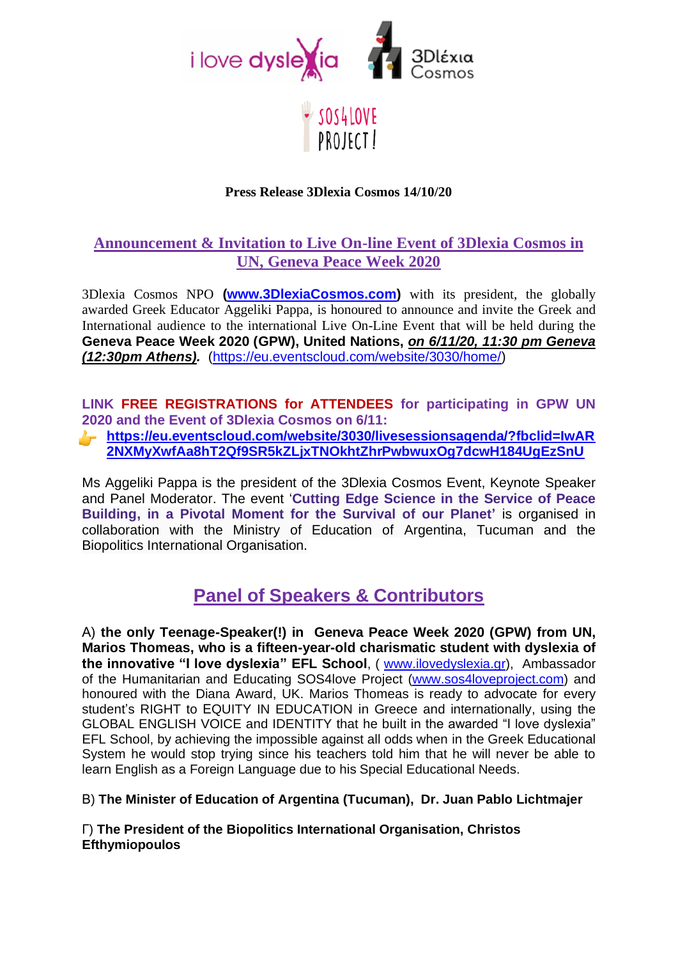

## SOS4LOVE PROJECT!

### **Press Release 3Dlexia Cosmos 14/10/20**

## **Announcement & Invitation to Live On-line Event of 3Dlexia Cosmos in UN, Geneva Peace Week 2020**

3Dlexia Cosmos NPO **[\(www.3DlexiaCosmos.com\)](http://www.3dlexiacosmos.com/)** with its president, the globally awarded Greek Educator Aggeliki Pappa, is honoured to announce and invite the Greek and International audience to the international Live On-Line Event that will be held during the **Geneva Peace Week 2020 (GPW), United Nations,** *on 6/11/20, 11:30 pm Geneva (12:30pm Athens).* [\(https://eu.eventscloud.com/website/3030/home/\)](https://eu.eventscloud.com/website/3030/home/)

**LINK FREE REGISTRATIONS for ATTENDEES for participating in GPW UN 2020 and the Event of 3Dlexia Cosmos on 6/11:** 

**[https://eu.eventscloud.com/website/3030/livesessionsagenda/?fbclid=IwAR](https://eu.eventscloud.com/website/3030/livesessionsagenda/?fbclid=IwAR2NXMyXwfAa8hT2Qf9SR5kZLjxTNOkhtZhrPwbwuxOg7dcwH184UgEzSnU) [2NXMyXwfAa8hT2Qf9SR5kZLjxTNOkhtZhrPwbwuxOg7dcwH184UgEzSnU](https://eu.eventscloud.com/website/3030/livesessionsagenda/?fbclid=IwAR2NXMyXwfAa8hT2Qf9SR5kZLjxTNOkhtZhrPwbwuxOg7dcwH184UgEzSnU)**

Ms Aggeliki Pappa is the president of the 3Dlexia Cosmos Event, Keynote Speaker and Panel Moderator. The event '**Cutting Edge Science in the Service of Peace Building, in a Pivotal Moment for the Survival of our Planet'** is organised in collaboration with the Ministry of Education of Argentina, Tucuman and the Biopolitics International Organisation.

## **Panel of Speakers & Contributors**

Α) **the only Teenage-Speaker(!) in Geneva Peace Week 2020 (GPW) from UN, Marios Thomeas, who is a fifteen-year-old charismatic student with dyslexia of the innovative "I love dyslexia" EFL School**, ( [www.ilovedyslexia.gr\)](http://www.ilovedyslexia.gr/), Ambassador of the Humanitarian and Educating SOS4love Project [\(www.sos4loveproject.com\)](http://www.sos4loveproject.com/) and honoured with the Diana Αward, UK. Marios Thomeas is ready to advocate for every student's RIGHT to ΕQUITY IN EDUCATION in Greece and internationally, using the GLOBAL ENGLISH VOICE and IDENTITY that he built in the awarded "I love dyslexia" EFL School, by achieving the impossible against all odds when in the Greek Educational System he would stop trying since his teachers told him that he will never be able to learn English as a Foreign Language due to his Special Educational Needs.

Β) **The Minister of Education of Argentina (Tucuman), Dr. Juan Pablo Lichtmajer**

Γ) **The President of the Biopolitics International Organisation, Christos Efthymiopoulos**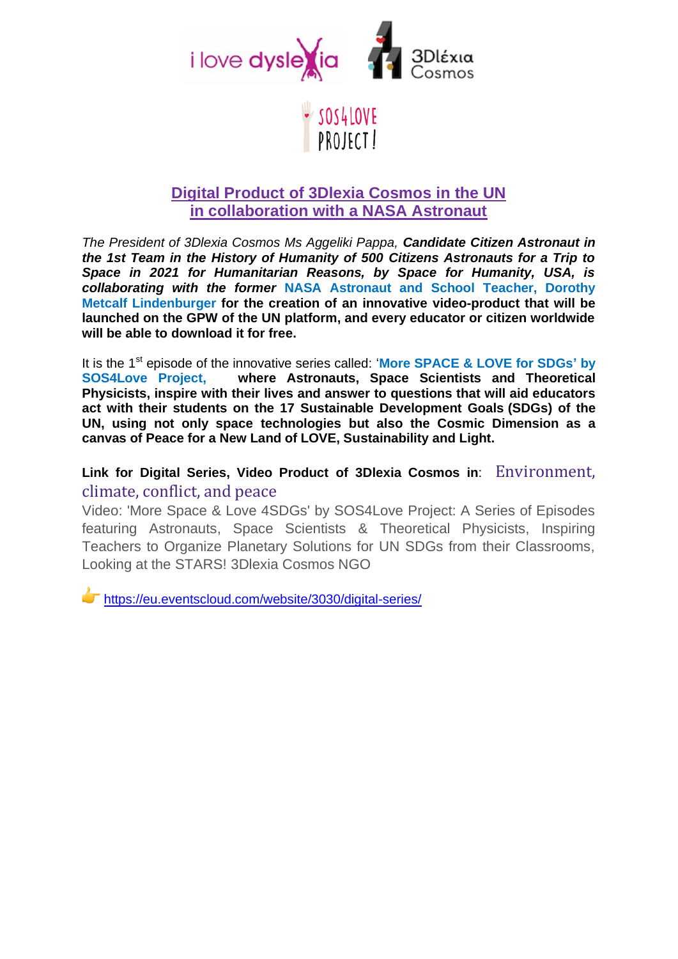

## SOS4LOVE PROJECT!

## **Digital Product of 3Dlexia Cosmos in the UN in collaboration with a NASA Astronaut**

*The President of 3Dlexia Cosmos Ms Aggeliki Pappa, Candidate Citizen Astronaut in the 1st Team in the History of Humanity of 500 Citizens Astronauts for a Trip to Space in 2021 for Humanitarian Reasons, by Space for Humanity, USA, is collaborating with the former* **NASA Astronaut and School Teacher, Dorothy Metcalf Lindenburger for the creation of an innovative video-product that will be launched on the GPW of the UN platform, and every educator or citizen worldwide will be able to download it for free.**

It is the 1st episode of the innovative series called: '**More SPACE & LOVE for SDGs' by SOS4Love Project, where Astronauts, Space Scientists and Theoretical Physicists, inspire with their lives and answer to questions that will aid educators act with their students on the 17 Sustainable Development Goals (SDGs) of the UN, using not only space technologies but also the Cosmic Dimension as a canvas of Peace for a New Land of LOVE, Sustainability and Light.**

## **Link for Digital Series, Video Product of 3Dlexia Cosmos in**: Environment, climate, conflict, and peace

Video: 'More Space & Love 4SDGs' by SOS4Love Project: A Series of Episodes featuring Astronauts, Space Scientists & Theoretical Physicists, Inspiring Teachers to Organize Planetary Solutions for UN SDGs from their Classrooms, Looking at the STARS! 3Dlexia Cosmos NGO

<https://eu.eventscloud.com/website/3030/digital-series/>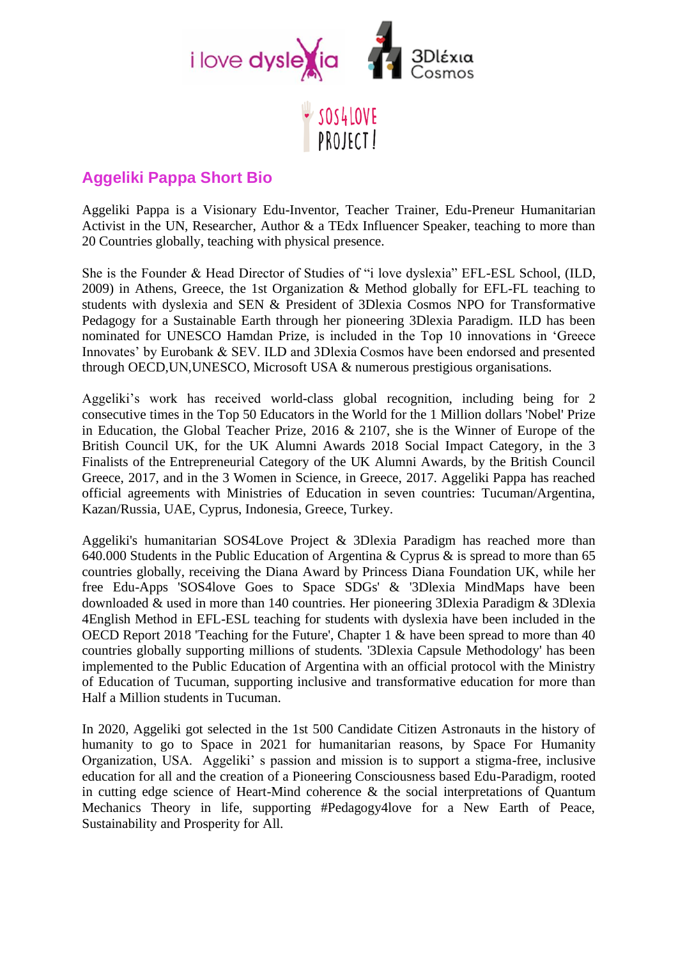

## **Aggeliki Pappa Short Bio**

Aggeliki Pappa is a Visionary Edu-Inventor, Teacher Trainer, Edu-Preneur Humanitarian Activist in the UN, Researcher, Author & a TEdx Influencer Speaker, teaching to more than 20 Countries globally, teaching with physical presence.

PROJECT!

She is the Founder & Head Director of Studies of "i love dyslexia" EFL-ESL School, (ILD, 2009) in Athens, Greece, the 1st Organization & Method globally for EFL-FL teaching to students with dyslexia and SEN & President of 3Dlexia Cosmos NPO for Transformative Pedagogy for a Sustainable Earth through her pioneering 3Dlexia Paradigm. ILD has been nominated for UNESCO Hamdan Prize, is included in the Top 10 innovations in 'Greece Innovates' by Eurobank & SEV. ILD and 3Dlexia Cosmos have been endorsed and presented through OECD,UΝ,UNESCO, Microsoft USA & numerous prestigious organisations.

Aggeliki's work has received world-class global recognition, including being for 2 consecutive times in the Top 50 Educators in the World for the 1 Million dollars 'Nobel' Prize in Education, the Global Teacher Prize, 2016 & 2107, she is the Winner of Europe of the British Council UK, for the UK Alumni Awards 2018 Social Impact Category, in the 3 Finalists of the Entrepreneurial Category of the UK Alumni Awards, by the British Council Greece, 2017, and in the 3 Women in Science, in Greece, 2017. Aggeliki Pappa has reached official agreements with Ministries of Education in seven countries: Tucuman/Argentina, Kazan/Russia, UAE, Cyprus, Indonesia, Greece, Turkey.

Aggeliki's humanitarian SOS4Love Project & 3Dlexia Paradigm has reached more than 640.000 Students in the Public Education of Argentina & Cyprus & is spread to more than 65 countries globally, receiving the Diana Award by Princess Diana Foundation UK, while her free Edu-Apps 'SOS4love Goes to Space SDGs' & '3Dlexia MindMaps have been downloaded & used in more than 140 countries. Her pioneering 3Dlexia Paradigm & 3Dlexia 4English Method in EFL-ESL teaching for students with dyslexia have been included in the OECD Report 2018 'Teaching for the Future', Chapter 1 & have been spread to more than 40 countries globally supporting millions of students. '3Dlexia Capsule Methodology' has been implemented to the Public Education of Argentina with an official protocol with the Ministry of Education of Tucuman, supporting inclusive and transformative education for more than Half a Million students in Tucuman.

In 2020, Aggeliki got selected in the 1st 500 Candidate Citizen Astronauts in the history of humanity to go to Space in 2021 for humanitarian reasons, by Space For Humanity Organization, USA. Aggeliki' s passion and mission is to support a stigma-free, inclusive education for all and the creation of a Pioneering Consciousness based Edu-Paradigm, rooted in cutting edge science of Heart-Mind coherence & the social interpretations of Quantum Mechanics Theory in life, supporting #Pedagogy4love for a New Earth of Peace, Sustainability and Prosperity for All.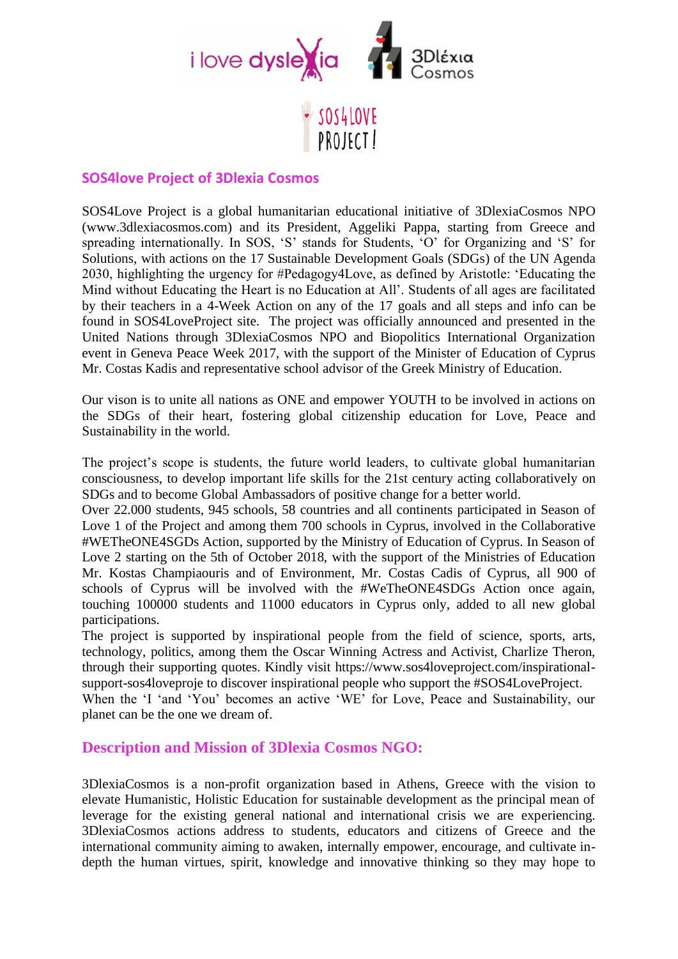

# SOS4LOVE PROJECT!

### **SOS4love Project of 3Dlexia Cosmos**

SOS4Love Project is a global humanitarian educational initiative of 3DlexiaCosmos NPO (www.3dlexiacosmos.com) and its President, Aggeliki Pappa, starting from Greece and spreading internationally. In SOS, 'S' stands for Students, 'O' for Organizing and 'S' for Solutions, with actions on the 17 Sustainable Development Goals (SDGs) of the UN Agenda 2030, highlighting the urgency for #Pedagogy4Love, as defined by Aristotle: 'Educating the Mind without Educating the Heart is no Education at All'. Students of all ages are facilitated by their teachers in a 4-Week Action on any of the 17 goals and all steps and info can be found in SOS4LoveProject site. The project was officially announced and presented in the United Nations through 3DlexiaCosmos NPO and Biopolitics International Organization event in Geneva Peace Week 2017, with the support of the Minister of Education of Cyprus Mr. Costas Kadis and representative school advisor of the Greek Ministry of Education.

Our vison is to unite all nations as ONE and empower YOUTH to be involved in actions on the SDGs of their heart, fostering global citizenship education for Love, Peace and Sustainability in the world.

The project's scope is students, the future world leaders, to cultivate global humanitarian consciousness, to develop important life skills for the 21st century acting collaboratively on SDGs and to become Global Ambassadors of positive change for a better world.

Over 22.000 students, 945 schools, 58 countries and all continents participated in Season of Love 1 of the Project and among them 700 schools in Cyprus, involved in the Collaborative #WETheONE4SGDs Action, supported by the Ministry of Education of Cyprus. In Season of Love 2 starting on the 5th of October 2018, with the support of the Ministries of Education Mr. Kostas Champiaouris and of Environment, Mr. Costas Cadis of Cyprus, all 900 of schools of Cyprus will be involved with the #WeTheONE4SDGs Action once again, touching 100000 students and 11000 educators in Cyprus only, added to all new global participations.

The project is supported by inspirational people from the field of science, sports, arts, technology, politics, among them the Oscar Winning Actress and Activist, Charlize Theron, through their supporting quotes. Kindly visit https://www.sos4loveproject.com/inspirationalsupport-sos4loveproje to discover inspirational people who support the #SOS4LoveProject.

When the 'I 'and 'You' becomes an active 'WE' for Love, Peace and Sustainability, our planet can be the one we dream of.

## **Description and Mission of 3Dlexia Cosmos NGO:**

3DlexiaCosmos is a non-profit organization based in Athens, Greece with the vision to elevate Humanistic, Holistic Education for sustainable development as the principal mean of leverage for the existing general national and international crisis we are experiencing. 3DlexiaCosmos actions address to students, educators and citizens of Greece and the international community aiming to awaken, internally empower, encourage, and cultivate indepth the human virtues, spirit, knowledge and innovative thinking so they may hope to